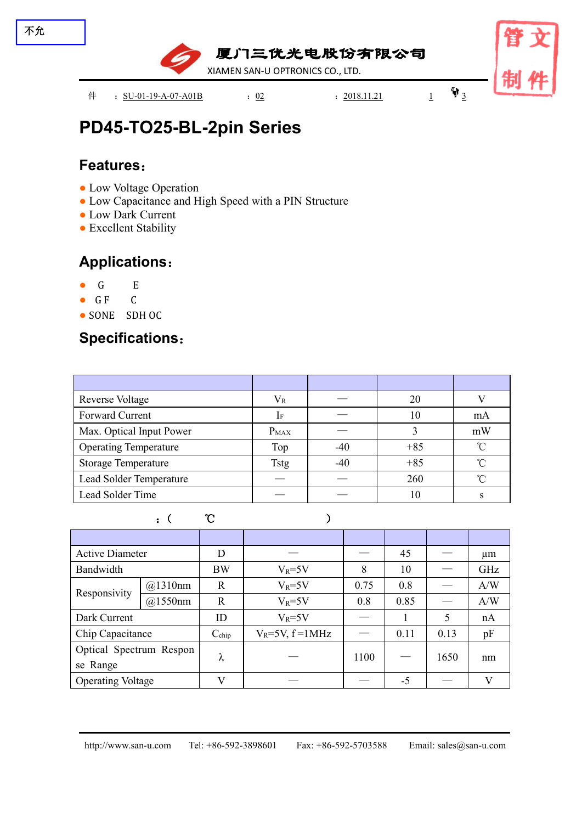

# **PD45-TO25-BL-2pin [Series](file:///C:/Users/Administrator/AppData/Local/youdao/dict/Application/7.5.2.0/resultui/dict/?keyword=series)**

#### **Features**:

- Low Voltage Operation
- Low Capacitance and High Speed with a PIN Structure
- Low Dark Current
- Excellent Stability

### **Applications**:

- G E
- G F C
- SONE SDH OC

### **Specifications**:

| <b>Reverse Voltage</b>       | $V_{R}$     |       | 20    |            |
|------------------------------|-------------|-------|-------|------------|
| Forward Current              |             |       | 10    | mA         |
| Max. Optical Input Power     | $P_{MAX}$   |       |       | mW         |
| <b>Operating Temperature</b> | Top         | $-40$ | $+85$ | $^{\circ}$ |
| <b>Storage Temperature</b>   | <b>Tstg</b> | $-40$ | $+85$ | $^{\circ}$ |
| Lead Solder Temperature      |             |       | 260   | $^{\circ}$ |
| Lead Solder Time             |             |       | 10    |            |

|                  |                               | $\mathcal{C}$     |                         |      |                                |      |              |
|------------------|-------------------------------|-------------------|-------------------------|------|--------------------------------|------|--------------|
|                  |                               |                   |                         |      |                                |      |              |
|                  | <b>Active Diameter</b>        |                   |                         |      | 45                             |      | um           |
| Bandwidth        |                               | <b>BW</b>         | $V_R = 5V$              | 8    | 10                             | ___  | GHz          |
| Responsivity     | @1310nm                       | $\mathbf R$       | $V_R = 5V$              | 0.75 | 0.8                            |      | A/W          |
|                  | @1550nm                       | $\mathbf R$       | $V_R = 5V$              | 0.8  | 0.85                           |      | A/W          |
| Dark Current     |                               | ID                | $V_R = 5V$              |      |                                |      | nA           |
| Chip Capacitance |                               | $C_{\text{chip}}$ | $V_R = 5V$ , $f = 1MHz$ |      | 0.11                           | 0.13 | pF           |
|                  | Optical Spectrum Respon       |                   |                         | 1100 | $\overbrace{\hspace{25mm}}^{}$ | 1650 | nm           |
| se Range         |                               | λ                 |                         |      |                                |      |              |
|                  | <b>Operating Voltage</b><br>V |                   |                         |      | $-5$                           |      | $\mathbf{V}$ |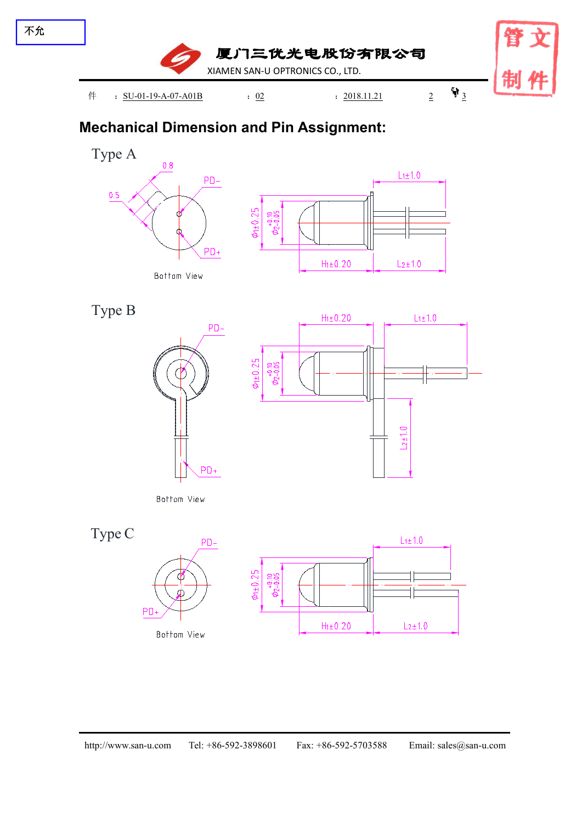

## **Mechanical Dimension and Pin Assignment:**